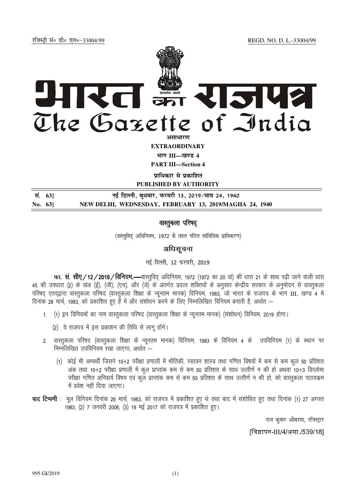jftLVªh laö Mhö ,yö&33004@99 REGD. NO. D. L.-33004/99



**EXTRAORDINARY**

**Hkkx III—[k.M 4**

**PART III—Section 4** 

**un**धिकार से प्रकाशित

**PUBLISHED BY AUTHORITY**

| सं. 631    | नई दिल्ली, बुधवार, फरवरी 13, 2019 ∕माघ 24, 1940        |
|------------|--------------------------------------------------------|
| No. $63$ ] | NEW DELHI, WEDNESDAY, FEBRUARY 13, 2019/MAGHA 24, 1940 |

# वास्तूकला परिषद्

(वास्तुविदु अधिनियम, 1972 के तहत गठित सांविधिक प्राधिकरण)

# अधिसूचना

### नई दिल्ली, 12 फरवरी, 2019

फा. सं. सीए/12/2019/विनियम.—वास्तुविद् अधिनियम, 1972 (1972 का 20 वां) की धारा 21 के साथ पढ़ी जाने वाली धारा 45 की उपधारा (2) के खंड (ई), (जी), (एच), और (जे) के अंतर्गत प्रदत्त शक्तियों के अनुसार केन्द्रीय सरकार के अनुमोदन से वास्तुकला uरिषद एतदद्वारा वास्तुकला परिषद (वास्तुकला शिक्षा के न्यूनतम मानक) विनियम, 1983, जो भारत के राजपत्र के भाग III, खण्ड 4 में <u>दिनांक 26 मार्च, 1983, को प्रकाशित हुए हैं में और संशोधन करने के लिए निम्नलिखित विनियम बनाती है, अर्थात :–</u>

- 1. (1) इन विनियमों का नाम वास्तुकला परिषद (वास्तुकला शिक्षा के न्यूनतम मानक) (संशोधन) विनियम, 2019 होगा।
	- (2) ये राजपत्र में इस प्रकाशन की तिथि से लागू होंगे।
- 2. वास्तुकला परिषद (वास्तुकला शिक्षा के न्यूनतम मानक) विनियम, 1983 के विनियम 4 के उपविनियम (1) के स्थान पर निम्नलिखित उपविनियम रखा जाएगा, अर्थात :-
	- (1) कोई भी अभ्यर्थी जिसने 10+2 परीक्षा प्रणाली में भौतिकी, रसायन शास्त्र तथा गणित विषयों में कम से कम कुल 50 प्रतिशत अंक तथा 10+2 परीक्षा प्रणाली में कूल प्राप्तांक कम से कम 50 प्रतिशत के साथ उत्तीर्ण न की हो अथवा 10+3 डिप्लोमा परीक्षा गणित अनिवार्य विषय एवं कुल प्राप्तांक कम से कम 50 प्रतिशत के साथ उत्तीर्ण न की हो, को वास्तुकला पाठयकम में प्रवेश नहीं दिया जाएगा।
- **पाद टिप्पणी** : मूल विनियम दिनांक 26 मार्च, 1983, को राजपत्र में प्रकाशित हुए थे तथा बाद में संशोधित हुए तथा दिनांक (1) 27 अगस्त 1983, (2) 7 जनवरी 2006, (3) 19 मई 2017 को राजपत्र में प्रकाशित हुए।

राज कुमार ओबराय, रजिस्ट्रार

[विज्ञापन-III/4/असा /539/18]